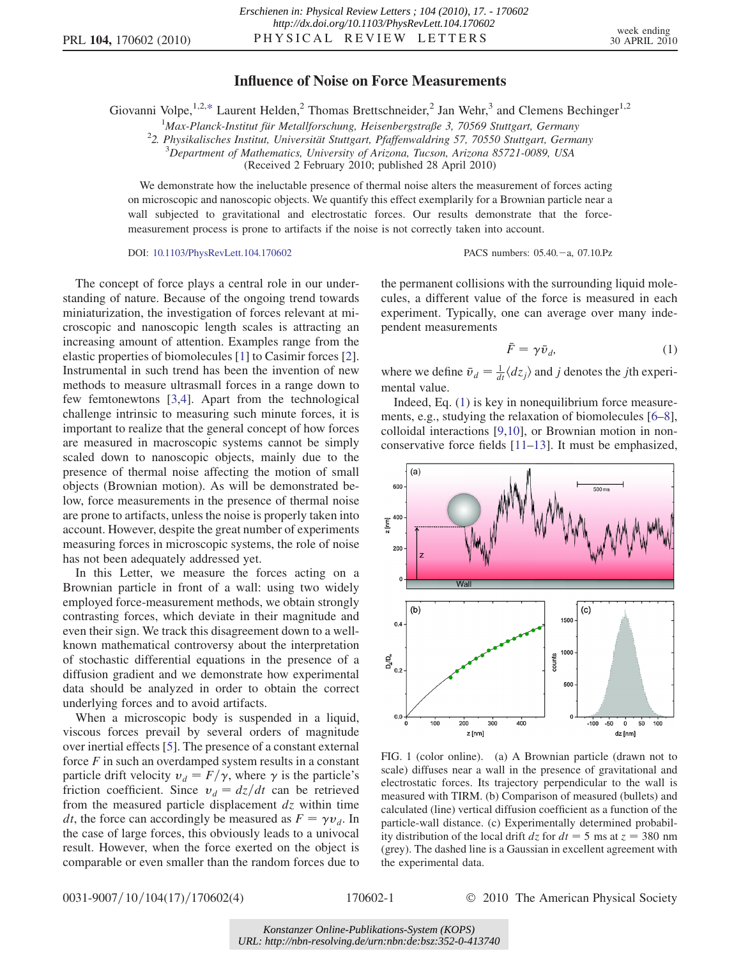## Influence of Noise on Force Measurements

<span id="page-0-2"></span>Giovanni Volpe,  $1,2,*$  $1,2,*$  Laurent Helden,  $2$  Thomas Brettschneider,  $2$  Jan Wehr,  $3$  and Clemens Bechinger<sup>1, 2</sup>

<sup>1</sup> Max-Planck-Institut für Metallforschung, Heisenbergstraße 3, 70569 Stuttgart, Germany<br><sup>2</sup>2 Physikalisches Institut, Universität Stuttgart, Pfaffanwaldring 57, 70550 Stuttgart, German

 $22$ . Physikalisches Institut, Universität Stuttgart, Pfaffenwaldring 57, 70550 Stuttgart, Germany

 $3$ Department of Mathematics, University of Arizona, Tucson, Arizona 85721-0089, USA

(Received 2 February 2010; published 28 April 2010)

We demonstrate how the ineluctable presence of thermal noise alters the measurement of forces acting on microscopic and nanoscopic objects. We quantify this effect exemplarily for a Brownian particle near a wall subjected to gravitational and electrostatic forces. Our results demonstrate that the forcemeasurement process is prone to artifacts if the noise is not correctly taken into account.

DOI: [10.1103/PhysRevLett.104.170602](http://dx.doi.org/10.1103/PhysRevLett.104.170602) PACS numbers: 05.40.-a, 07.10.Pz

The concept of force plays a central role in our understanding of nature. Because of the ongoing trend towards miniaturization, the investigation of forces relevant at microscopic and nanoscopic length scales is attracting an increasing amount of attention. Examples range from the elastic properties of biomolecules [[1\]](#page-3-1) to Casimir forces [[2\]](#page-3-2). Instrumental in such trend has been the invention of new methods to measure ultrasmall forces in a range down to few femtonewtons [\[3,](#page-3-3)[4](#page-3-4)]. Apart from the technological challenge intrinsic to measuring such minute forces, it is important to realize that the general concept of how forces are measured in macroscopic systems cannot be simply scaled down to nanoscopic objects, mainly due to the presence of thermal noise affecting the motion of small objects (Brownian motion). As will be demonstrated below, force measurements in the presence of thermal noise are prone to artifacts, unless the noise is properly taken into account. However, despite the great number of experiments measuring forces in microscopic systems, the role of noise has not been adequately addressed yet.

In this Letter, we measure the forces acting on a Brownian particle in front of a wall: using two widely employed force-measurement methods, we obtain strongly contrasting forces, which deviate in their magnitude and even their sign. We track this disagreement down to a wellknown mathematical controversy about the interpretation of stochastic differential equations in the presence of a diffusion gradient and we demonstrate how experimental data should be analyzed in order to obtain the correct underlying forces and to avoid artifacts.

When a microscopic body is suspended in a liquid, viscous forces prevail by several orders of magnitude over inertial effects [[5](#page-3-5)]. The presence of a constant external force  $F$  in such an overdamped system results in a constant particle drift velocity  $v_d = F/\gamma$ , where  $\gamma$  is the particle's friction coefficient. Since  $v_d = dz/dt$  can be retrieved from the measured particle displacement  $dz$  within time *dt*, the force can accordingly be measured as  $F = \gamma v_d$ . In the case of large forces, this obviously leads to a univocal result. However, when the force exerted on the object is comparable or even smaller than the random forces due to <span id="page-0-0"></span>the permanent collisions with the surrounding liquid molecules, a different value of the force is measured in each experiment. Typically, one can average over many independent measurements

$$
\bar{F} = \gamma \bar{\upsilon}_d,\tag{1}
$$

where we define  $\bar{v}_d = \frac{1}{dt} \langle dz_j \rangle$  and j denotes the jth experimental value.

Indeed, Eq. ([1](#page-0-0)) is key in nonequilibrium force measurements, e.g., studying the relaxation of biomolecules [\[6–](#page-3-6)[8\]](#page-3-7), colloidal interactions [\[9](#page-3-8)[,10\]](#page-3-9), or Brownian motion in nonconservative force fields [\[11–](#page-3-10)[13](#page-3-11)]. It must be emphasized,



<span id="page-0-1"></span>FIG. 1 (color online). (a) A Brownian particle (drawn not to scale) diffuses near a wall in the presence of gravitational and electrostatic forces. Its trajectory perpendicular to the wall is measured with TIRM. (b) Comparison of measured (bullets) and calculated (line) vertical diffusion coefficient as a function of the particle-wall distance. (c) Experimentally determined probability distribution of the local drift  $dz$  for  $dt = 5$  ms at  $z = 380$  nm (grey). The dashed line is a Gaussian in excellent agreement with the experimental data.

0031-9007/10/104(17)/170602(4) 170602-1 © 2010 The American Physical Society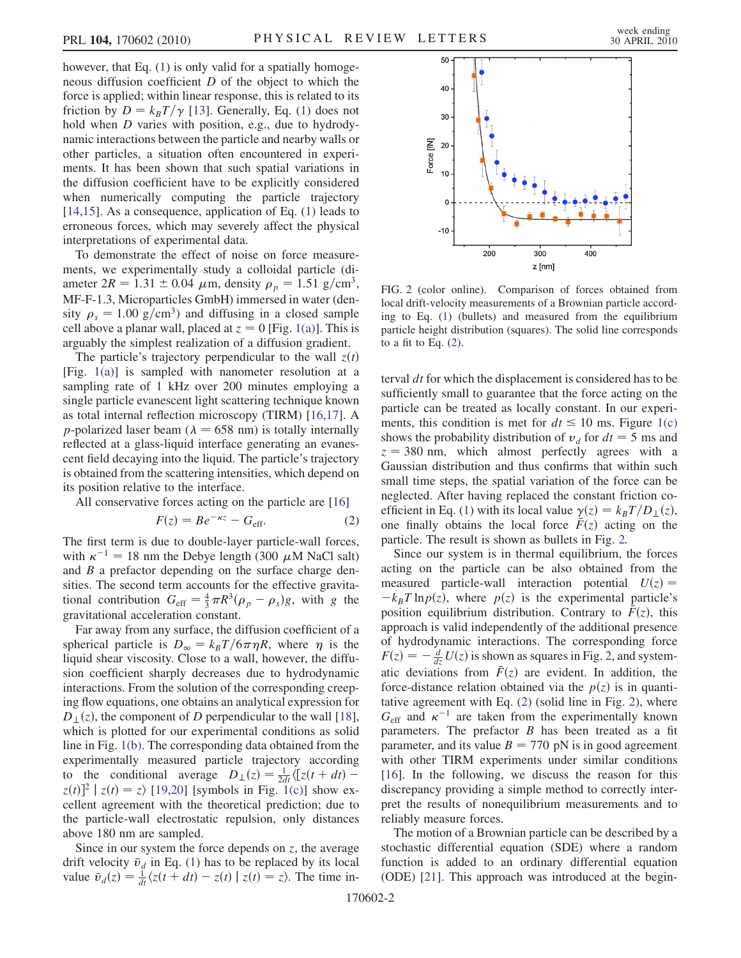however, that Eq. ([1](#page-0-0)) is only valid for a spatially homogeneous diffusion coefficient  $D$  of the object to which the force is applied; within linear response, this is related to its friction by  $D = k_B T / \gamma$  [\[13\]](#page-3-11). Generally, Eq. [\(1\)](#page-0-0) does not hold when *D* varies with position, e.g., due to hydrodynamic interactions between the particle and nearby walls or other particles, a situation often encountered in experiments. It has been shown that such spatial variations in the diffusion coefficient have to be explicitly considered when numerically computing the particle trajectory [\[14](#page-3-12)[,15\]](#page-3-13). As a consequence, application of Eq. [\(1\)](#page-0-0) leads to erroneous forces, which may severely affect the physical interpretations of experimental data.

To demonstrate the effect of noise on force measurements, we experimentally study a colloidal particle (diameter  $2R = 1.31 \pm 0.04 \mu$ m, density  $\rho_p = 1.51 \text{ g/cm}^3$ ,<br>ME-E-1.3 Microparticles GmbH) immerced in water (den-MF-F-1.3, Microparticles GmbH) immersed in water (density  $\rho_s = 1.00 \text{ g/cm}^3$  and diffusing in a closed sample cell above a planar wall, placed at  $z = 0$  [Fig. [1\(a\)\]](#page-0-1). This is arguably the simplest realization of a diffusion gradient.

The particle's trajectory perpendicular to the wall  $z(t)$ [Fig. [1\(a\)\]](#page-0-1) is sampled with nanometer resolution at a sampling rate of 1 kHz over 200 minutes employing a single particle evanescent light scattering technique known as total internal reflection microscopy (TIRM) [[16](#page-3-14),[17](#page-3-15)]. A *p*-polarized laser beam ( $\lambda = 658$  nm) is totally internally reflected at a glass-liquid interface generating an evanescent field decaying into the liquid. The particle's trajectory is obtained from the scattering intensities, which depend on its position relative to the interface.

<span id="page-1-1"></span>All conservative forces acting on the particle are [\[16\]](#page-3-14)

$$
F(z) = Be^{-\kappa z} - G_{\text{eff}}.\tag{2}
$$

The first term is due to double-layer particle-wall forces, with  $\kappa^{-1} = 18$  nm the Debye length (300  $\mu$ M NaCl salt)<br>and B a prefactor depending on the surface charge depand B a prefactor depending on the surface charge densities. The second term accounts for the effective gravitational contribution  $G_{\text{eff}} = \frac{4}{3} \pi R^3 (\rho_p - \rho_s) g$ , with g the gravitational acceleration constant gravitational acceleration constant.

Far away from any surface, the diffusion coefficient of a spherical particle is  $D_{\infty} = k_B T/6\pi \eta R$ , where  $\eta$  is the liquid shear viscosity. Close to a wall, however, the diffusion coefficient sharply decreases due to hydrodynamic interactions. From the solution of the corresponding creeping flow equations, one obtains an analytical expression for  $D_{\perp}(z)$ , the component of D perpendicular to the wall [[18\]](#page-3-16), which is plotted for our experimental conditions as solid line in Fig. [1\(b\)](#page-0-1). The corresponding data obtained from the experimentally measured particle trajectory according to the conditional average  $D_{\perp}(z) = \frac{1}{2dt} \langle [z(t+dt) - z(t)]^2 | z(t) = z \rangle$  [10.201] [symbols in Fig. 1(c)] show ex $z(t)^2$   $|z(t) = z\rangle$  [\[19,](#page-3-17)[20\]](#page-3-18) [symbols in Fig. [1\(c\)\]](#page-0-1) show excellent agreement with the theoretical prediction; due to the particle-wall electrostatic repulsion, only distances above 180 nm are sampled.

Since in our system the force depends on  $z$ , the average drift velocity  $\bar{v}_d$  in Eq. ([1](#page-0-0)) has to be replaced by its local value  $\bar{v}_d(z) = \frac{1}{z}(z(t + dt) - z(t)) |z(t)| = z$ . The time invalue  $\bar{v}_d(z) = \frac{1}{dt} \langle z(t + dt) - z(t) | z(t) = z \rangle$ . The time in-

<span id="page-1-0"></span>

FIG. 2 (color online). Comparison of forces obtained from local drift-velocity measurements of a Brownian particle according to Eq. ([1](#page-0-0)) (bullets) and measured from the equilibrium particle height distribution (squares). The solid line corresponds to a fit to Eq.  $(2)$ .

terval  $dt$  for which the displacement is considered has to be sufficiently small to guarantee that the force acting on the particle can be treated as locally constant. In our experiments, this condition is met for  $dt \le 10$  ms. Figure [1\(c\)](#page-0-1) shows the probability distribution of  $v_d$  for  $dt = 5$  ms and  $z = 380$  nm, which almost perfectly agrees with a Gaussian distribution and thus confirms that within such small time steps, the spatial variation of the force can be neglected. After having replaced the constant friction co-efficient in Eq. [\(1](#page-0-0)) with its local value  $\gamma(z) = k_B T/D_{\perp}(z)$ , one finally obtains the local force  $\bar{F}(z)$  acting on the particle. The result is shown as bullets in Fig. [2.](#page-1-0)

Since our system is in thermal equilibrium, the forces acting on the particle can be also obtained from the measured particle-wall interaction potential  $U(z) =$  $-k_BT \ln p(z)$ , where  $p(z)$  is the experimental particle's position equilibrium distribution. Contrary to  $F(z)$ , this approach is valid independently of the additional presence of hydrodynamic interactions. The corresponding force  $F(z) = -\frac{d}{dz}U(z)$  is shown as squares in Fig. [2,](#page-1-0) and systematic deviations from  $\bar{F}(z)$  are evident. In addition, the force-distance relation obtained via the  $p(z)$  is in quantitative agreement with Eq. ([2](#page-1-1)) (solid line in Fig. [2](#page-1-0)), where  $G_{\text{eff}}$  and  $\kappa^{-1}$  are taken from the experimentally known parameters. The prefactor  $B$  has been treated as a fit parameter, and its value  $B = 770$  pN is in good agreement with other TIRM experiments under similar conditions [\[16\]](#page-3-14). In the following, we discuss the reason for this discrepancy providing a simple method to correctly interpret the results of nonequilibrium measurements and to reliably measure forces.

The motion of a Brownian particle can be described by a stochastic differential equation (SDE) where a random function is added to an ordinary differential equation (ODE) [[21](#page-3-19)]. This approach was introduced at the begin-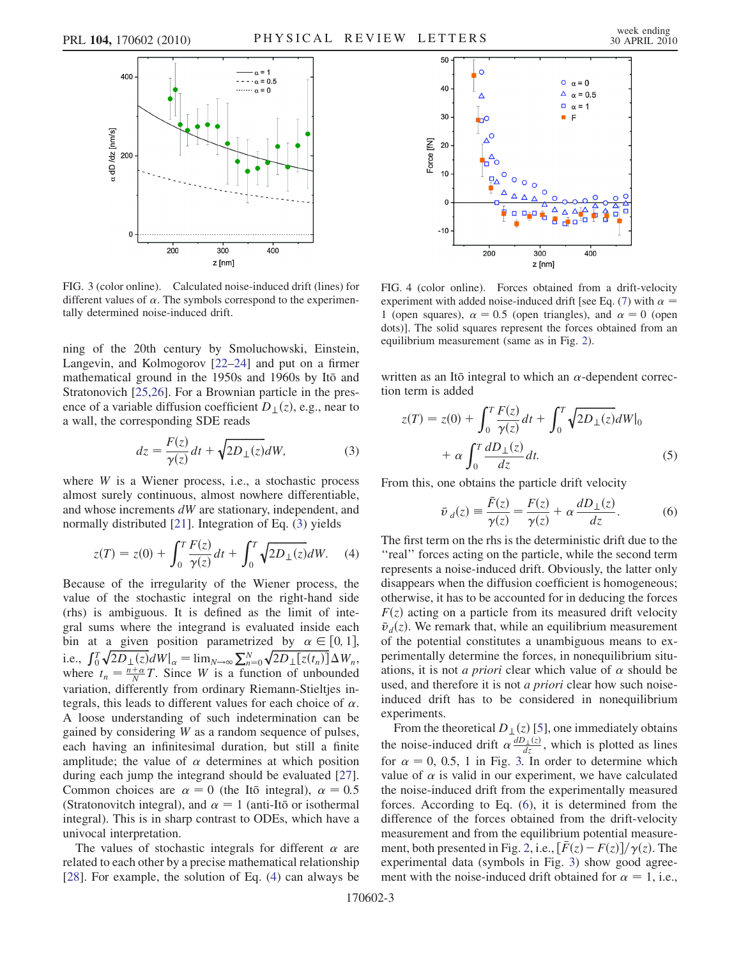<span id="page-2-2"></span>

FIG. 3 (color online). Calculated noise-induced drift (lines) for different values of  $\alpha$ . The symbols correspond to the experimentally determined noise-induced drift.

ning of the 20th century by Smoluchowski, Einstein, Langevin, and Kolmogorov [[22](#page-3-20)[–24\]](#page-3-21) and put on a firmer mathematical ground in the 1950s and 1960s by Itō and Stratonovich [[25](#page-3-22)[,26](#page-3-23)]. For a Brownian particle in the presence of a variable diffusion coefficient  $D_{\perp}(z)$ , e.g., near to a wall, the corresponding SDE reads

$$
dz = \frac{F(z)}{\gamma(z)}dt + \sqrt{2D_{\perp}(z)}dW,\tag{3}
$$

<span id="page-2-0"></span>where  $W$  is a Wiener process, i.e., a stochastic process almost surely continuous, almost nowhere differentiable, and whose increments dW are stationary, independent, and normally distributed [\[21\]](#page-3-19). Integration of Eq. [\(3](#page-2-0)) yields

<span id="page-2-1"></span>
$$
z(T) = z(0) + \int_0^T \frac{F(z)}{\gamma(z)} dt + \int_0^T \sqrt{2D_{\perp}(z)} dW.
$$
 (4)

Because of the irregularity of the Wiener process, the value of the stochastic integral on the right-hand side (rhs) is ambiguous. It is defined as the limit of integral sums where the integrand is evaluated inside each bin at a given position parametrized by  $\alpha \in [0, 1]$ ,<br>i.e.  $f \overline{f} \overline{f} \overline{f} \overline{f} \overline{f} \overline{f} \overline{f} \overline{f} \overline{f} \overline{f} \overline{f} \overline{f} \overline{f} \overline{f} \overline{f} \overline{f} \overline{f} \overline{f} \overline{f} \overline{f} \overline{f} \overline{f} \overline{f} \overline{f} \overline{f} \overline{f} \overline{$ bin at a given position parametrized by  $\alpha \in [0, 1]$ ,<br>i.e.,  $\int_0^T \sqrt{2D_{\perp}(z)}dW|_{\alpha} = \lim_{N \to \infty} \sum_{n=0}^N \sqrt{2D_{\perp}[z(t_n)]}\Delta W_n$ ,<br>where  $t = \frac{n+\alpha}{2}T$  Since W is a function of unbounded where  $t_n = \frac{n+\alpha}{N}T$ . Since W is a function of unbounded variation, differently from ordinary Riemann-Stieltjes integrals, this leads to different values for each choice of  $\alpha$ . A loose understanding of such indetermination can be gained by considering W as a random sequence of pulses, each having an infinitesimal duration, but still a finite amplitude; the value of  $\alpha$  determines at which position during each jump the integrand should be evaluated [\[27\]](#page-3-24). Common choices are  $\alpha = 0$  (the Ito integral),  $\alpha = 0.5$ (Stratonovitch integral), and  $\alpha = 1$  (anti-Itō or isothermal integral). This is in sharp contrast to ODEs, which have a univocal interpretation.

The values of stochastic integrals for different  $\alpha$  are related to each other by a precise mathematical relationship [\[28\]](#page-3-25). For example, the solution of Eq. ([4\)](#page-2-1) can always be

<span id="page-2-4"></span>

FIG. 4 (color online). Forces obtained from a drift-velocity experiment with added noise-induced drift [see Eq. ([7\)](#page-3-26) with  $\alpha =$ 1 (open squares),  $\alpha = 0.5$  (open triangles), and  $\alpha = 0$  (open dots)]. The solid squares represent the forces obtained from an equilibrium measurement (same as in Fig. [2\)](#page-1-0).

written as an Itō integral to which an  $\alpha$ -dependent correction term is added

$$
z(T) = z(0) + \int_0^T \frac{F(z)}{\gamma(z)} dt + \int_0^T \sqrt{2D_{\perp}(z)} dW \Big|_0
$$
  
+  $\alpha \int_0^T \frac{dD_{\perp}(z)}{dz} dt.$  (5)

<span id="page-2-3"></span>From this, one obtains the particle drift velocity

$$
\bar{v}_d(z) \equiv \frac{\bar{F}(z)}{\gamma(z)} = \frac{F(z)}{\gamma(z)} + \alpha \frac{dD_{\perp}(z)}{dz}.
$$
 (6)

The first term on the rhs is the deterministic drift due to the ''real'' forces acting on the particle, while the second term represents a noise-induced drift. Obviously, the latter only disappears when the diffusion coefficient is homogeneous; otherwise, it has to be accounted for in deducing the forces  $F(z)$  acting on a particle from its measured drift velocity  $\bar{v}_d(z)$ . We remark that, while an equilibrium measurement of the potential constitutes a unambiguous means to experimentally determine the forces, in nonequilibrium situations, it is not *a priori* clear which value of  $\alpha$  should be used, and therefore it is not *a priori* clear how such noiseinduced drift has to be considered in nonequilibrium experiments.

From the theoretical  $D_{\perp}(z)$  [\[5](#page-3-5)], one immediately obtains the noise-induced drift  $\alpha \frac{dD_{\perp}(z)}{dz}$ , which is plotted as lines for  $\alpha = 0, 0.5, 1$  in Fig. [3.](#page-2-2) In order to determine which value of  $\alpha$  is valid in our experiment, we have calculated the noise-induced drift from the experimentally measured forces. According to Eq. [\(6](#page-2-3)), it is determined from the difference of the forces obtained from the drift-velocity measurement and from the equilibrium potential measure-ment, both presented in Fig. [2](#page-1-0), i.e.,  $\left[\bar{F}(z) - F(z)\right] / \gamma(z)$ . The experimental data (symbols in Fig. [3\)](#page-2-2) show good agreement with the noise-induced drift obtained for  $\alpha = 1$ , i.e.,